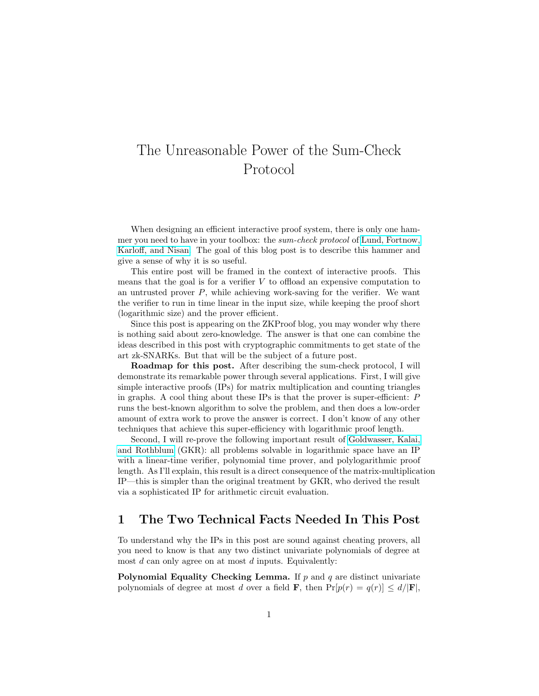# The Unreasonable Power of the Sum-Check Protocol

When designing an efficient interactive proof system, there is only one hammer you need to have in your toolbox: the sum-check protocol of [Lund, Fortnow,](https://dl.acm.org/doi/10.1145/146585.146605) [Karloff, and Nisan.](https://dl.acm.org/doi/10.1145/146585.146605) The goal of this blog post is to describe this hammer and give a sense of why it is so useful.

This entire post will be framed in the context of interactive proofs. This means that the goal is for a verifier  $V$  to offload an expensive computation to an untrusted prover  $P$ , while achieving work-saving for the verifier. We want the verifier to run in time linear in the input size, while keeping the proof short (logarithmic size) and the prover efficient.

Since this post is appearing on the ZKProof blog, you may wonder why there is nothing said about zero-knowledge. The answer is that one can combine the ideas described in this post with cryptographic commitments to get state of the art zk-SNARKs. But that will be the subject of a future post.

Roadmap for this post. After describing the sum-check protocol, I will demonstrate its remarkable power through several applications. First, I will give simple interactive proofs (IPs) for matrix multiplication and counting triangles in graphs. A cool thing about these IPs is that the prover is super-efficient:  $P$ runs the best-known algorithm to solve the problem, and then does a low-order amount of extra work to prove the answer is correct. I don't know of any other techniques that achieve this super-efficiency with logarithmic proof length.

Second, I will re-prove the following important result of [Goldwasser, Kalai,](https://www.microsoft.com/en-us/research/wp-content/uploads/2008/01/GoldwasserKR08a.pdf) [and Rothblum](https://www.microsoft.com/en-us/research/wp-content/uploads/2008/01/GoldwasserKR08a.pdf) (GKR): all problems solvable in logarithmic space have an IP with a linear-time verifier, polynomial time prover, and polylogarithmic proof length. As I'll explain, this result is a direct consequence of the matrix-multiplication IP—this is simpler than the original treatment by GKR, who derived the result via a sophisticated IP for arithmetic circuit evaluation.

# 1 The Two Technical Facts Needed In This Post

To understand why the IPs in this post are sound against cheating provers, all you need to know is that any two distinct univariate polynomials of degree at most  $d$  can only agree on at most  $d$  inputs. Equivalently:

**Polynomial Equality Checking Lemma.** If  $p$  and  $q$  are distinct univariate polynomials of degree at most d over a field **F**, then  $Pr[p(r) = q(r)] \le d/|\mathbf{F}|$ ,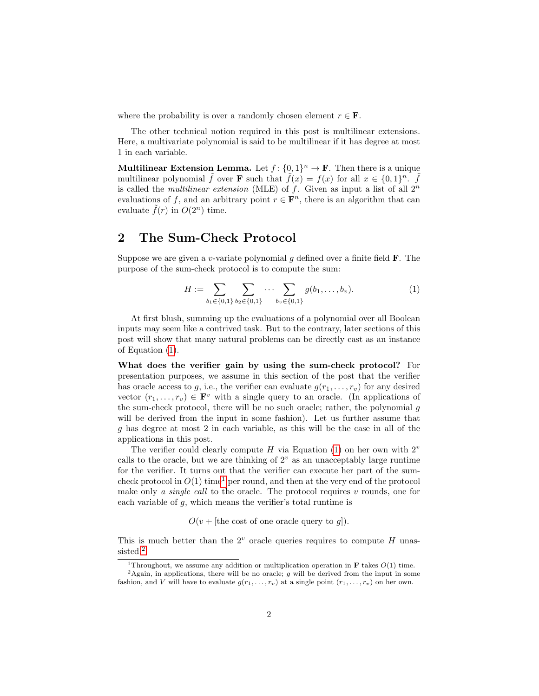where the probability is over a randomly chosen element  $r \in \mathbf{F}$ .

The other technical notion required in this post is multilinear extensions. Here, a multivariate polynomial is said to be multilinear if it has degree at most 1 in each variable.

**Multilinear Extension Lemma.** Let  $f: \{0,1\}^n \to \mathbf{F}$ . Then there is a unique multilinear polynomial  $\tilde{f}$  over **F** such that  $\tilde{f}(x) = f(x)$  for all  $x \in \{0,1\}^n$ .  $\tilde{f}$ is called the *multilinear extension* (MLE) of f. Given as input a list of all  $2^n$ evaluations of f, and an arbitrary point  $r \in \mathbf{F}^n$ , there is an algorithm that can evaluate  $f(r)$  in  $O(2^n)$  time.

## 2 The Sum-Check Protocol

Suppose we are given a v-variate polynomial q defined over a finite field  $\bf{F}$ . The purpose of the sum-check protocol is to compute the sum:

<span id="page-1-0"></span>
$$
H := \sum_{b_1 \in \{0,1\}} \sum_{b_2 \in \{0,1\}} \cdots \sum_{b_v \in \{0,1\}} g(b_1, \ldots, b_v).
$$
 (1)

At first blush, summing up the evaluations of a polynomial over all Boolean inputs may seem like a contrived task. But to the contrary, later sections of this post will show that many natural problems can be directly cast as an instance of Equation [\(1\)](#page-1-0).

What does the verifier gain by using the sum-check protocol? For presentation purposes, we assume in this section of the post that the verifier has oracle access to g, i.e., the verifier can evaluate  $g(r_1, \ldots, r_v)$  for any desired vector  $(r_1, \ldots, r_v) \in \mathbf{F}^v$  with a single query to an oracle. (In applications of the sum-check protocol, there will be no such oracle; rather, the polynomial g will be derived from the input in some fashion). Let us further assume that g has degree at most 2 in each variable, as this will be the case in all of the applications in this post.

The verifier could clearly compute H via Equation [\(1\)](#page-1-0) on her own with  $2^v$ calls to the oracle, but we are thinking of  $2<sup>v</sup>$  as an unacceptably large runtime for the verifier. It turns out that the verifier can execute her part of the sumcheck protocol in  $O(1)$  $O(1)$  $O(1)$  time<sup>1</sup> per round, and then at the very end of the protocol make only *a single call* to the oracle. The protocol requires *v* rounds, one for each variable of g, which means the verifier's total runtime is

 $O(v + \text{[the cost of one oracle query to } g\text{]).}$ 

This is much better than the  $2^v$  oracle queries requires to compute H unas-sisted.<sup>[2](#page-1-2)</sup>

<span id="page-1-2"></span><span id="page-1-1"></span><sup>&</sup>lt;sup>1</sup>Throughout, we assume any addition or multiplication operation in **F** takes  $O(1)$  time.

 ${}^{2}$ Again, in applications, there will be no oracle;  $g$  will be derived from the input in some fashion, and V will have to evaluate  $g(r_1, \ldots, r_v)$  at a single point  $(r_1, \ldots, r_v)$  on her own.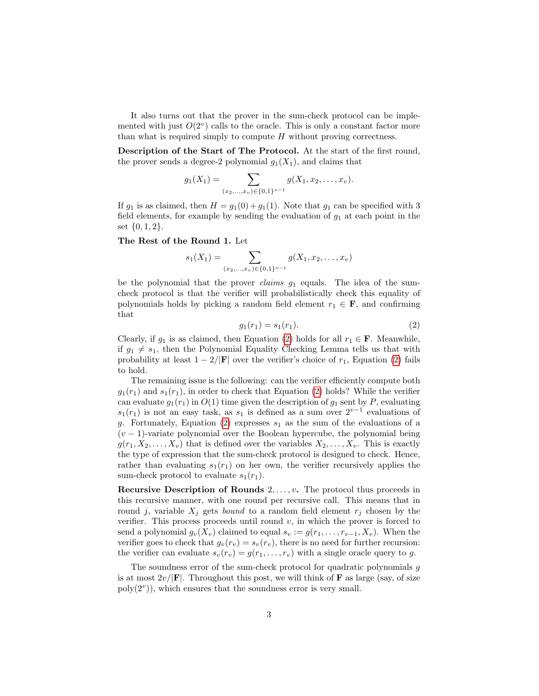It also turns out that the prover in the sum-check protocol can be implemented with just  $O(2^v)$  calls to the oracle. This is only a constant factor more than what is required simply to compute  $H$  without proving correctness.

Description of the Start of The Protocol. At the start of the first round, the prover sends a degree-2 polynomial  $g_1(X_1)$ , and claims that

$$
g_1(X_1) = \sum_{(x_2,...,x_v) \in \{0,1\}^{v-1}} g(X_1, x_2,...,x_v).
$$

If  $g_1$  is as claimed, then  $H = g_1(0) + g_1(1)$ . Note that  $g_1$  can be specified with 3 field elements, for example by sending the evaluation of  $g_1$  at each point in the set  $\{0, 1, 2\}.$ 

#### The Rest of the Round 1. Let

$$
s_1(X_1) = \sum_{(x_2,\ldots,x_v) \in \{0,1\}^{v-1}} g(X_1,x_2,\ldots,x_v)
$$

be the polynomial that the prover *claims*  $g_1$  equals. The idea of the sumcheck protocol is that the verifier will probabilistically check this equality of polynomials holds by picking a random field element  $r_1 \in \mathbf{F}$ , and confirming that

<span id="page-2-0"></span>
$$
g_1(r_1) = s_1(r_1). \tag{2}
$$

Clearly, if  $g_1$  is as claimed, then Equation [\(2\)](#page-2-0) holds for all  $r_1 \in \mathbf{F}$ . Meanwhile, if  $g_1 \neq s_1$ , then the Polynomial Equality Checking Lemma tells us that with probability at least  $1 - 2/|\mathbf{F}|$  over the verifier's choice of  $r_1$ , Equation [\(2\)](#page-2-0) fails to hold.

The remaining issue is the following: can the verifier efficiently compute both  $g_1(r_1)$  and  $s_1(r_1)$ , in order to check that Equation [\(2\)](#page-2-0) holds? While the verifier can evaluate  $g_1(r_1)$  in  $O(1)$  time given the description of  $g_1$  sent by P, evaluating  $s_1(r_1)$  is not an easy task, as  $s_1$  is defined as a sum over  $2^{v-1}$  evaluations of g. Fortunately, Equation [\(2\)](#page-2-0) expresses  $s_1$  as the sum of the evaluations of a  $(v - 1)$ -variate polynomial over the Boolean hypercube, the polynomial being  $g(r_1, X_2, \ldots, X_v)$  that is defined over the variables  $X_2, \ldots, X_v$ . This is exactly the type of expression that the sum-check protocol is designed to check. Hence, rather than evaluating  $s_1(r_1)$  on her own, the verifier recursively applies the sum-check protocol to evaluate  $s_1(r_1)$ .

Recursive Description of Rounds  $2, \ldots, v$ . The protocol thus proceeds in this recursive manner, with one round per recursive call. This means that in round j, variable  $X_i$  gets *bound* to a random field element  $r_i$  chosen by the verifier. This process proceeds until round  $v$ , in which the prover is forced to send a polynomial  $g_v(X_v)$  claimed to equal  $s_v := g(r_1, \ldots, r_{v-1}, X_v)$ . When the verifier goes to check that  $g_v(r_v) = s_v(r_v)$ , there is no need for further recursion: the verifier can evaluate  $s_v(r_v) = g(r_1, \ldots, r_v)$  with a single oracle query to g.

The soundness error of the sum-check protocol for quadratic polynomials  $g$ is at most  $2v/|\mathbf{F}|$ . Throughout this post, we will think of **F** as large (say, of size  $poly(2<sup>v</sup>))$ , which ensures that the soundness error is very small.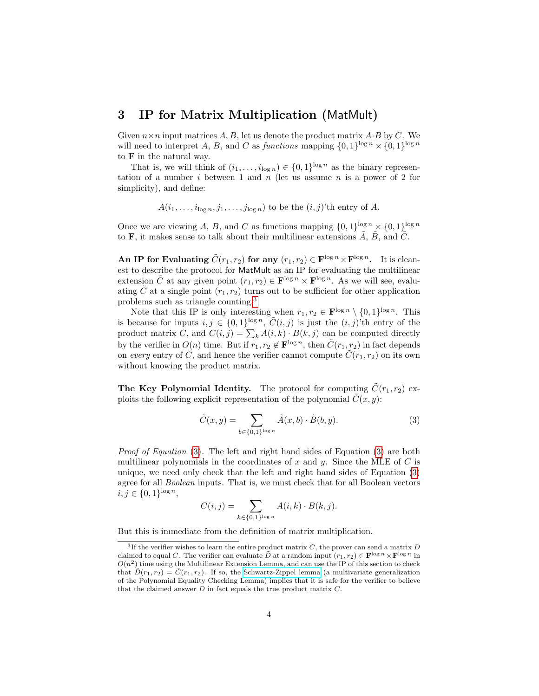#### <span id="page-3-3"></span>3 IP for Matrix Multiplication (MatMult)

Given  $n \times n$  input matrices A, B, let us denote the product matrix A $\cdot$ B by C. We will need to interpret A, B, and C as functions mapping  $\{0,1\}^{\log n} \times \{0,1\}^{\log n}$ to F in the natural way.

That is, we will think of  $(i_1, \ldots, i_{\log n}) \in \{0,1\}^{\log n}$  as the binary representation of a number  $i$  between 1 and  $n$  (let us assume  $n$  is a power of 2 for simplicity), and define:

 $A(i_1,\ldots,i_{\log n},j_1,\ldots,j_{\log n})$  to be the  $(i,j)$ 'th entry of A.

Once we are viewing A, B, and C as functions mapping  $\{0,1\}^{\log n} \times \{0,1\}^{\log n}$ to **F**, it makes sense to talk about their multilinear extensions  $\tilde{A}$ ,  $\tilde{B}$ , and  $\tilde{C}$ .

An IP for Evaluating  $\tilde{C}(r_1, r_2)$  for any  $(r_1, r_2) \in \mathbf{F}^{\log n} \times \mathbf{F}^{\log n}$ . It is cleanest to describe the protocol for MatMult as an IP for evaluating the multilinear extension  $\tilde{C}$  at any given point  $(r_1, r_2) \in \mathbf{F}^{\log n} \times \mathbf{F}^{\log n}$ . As we will see, evaluating  $\tilde{C}$  at a single point  $(r_1, r_2)$  turns out to be sufficient for other application problems such as triangle counting.[3](#page-3-0)

Note that this IP is only interesting when  $r_1, r_2 \in \mathbf{F}^{\log n} \setminus \{0, 1\}^{\log n}$ . This is because for inputs  $i, j \in \{0,1\}^{\log n}$ ,  $\tilde{C}(i, j)$  is just the  $(i, j)$ 'th entry of the product matrix C, and  $C(i, j) = \sum_k A(i, k) \cdot B(k, j)$  can be computed directly by the verifier in  $O(n)$  time. But if  $r_1, r_2 \notin \mathbf{F}^{\log n}$ , then  $\tilde{C}(r_1, r_2)$  in fact depends on every entry of C, and hence the verifier cannot compute  $\tilde{C}(r_1, r_2)$  on its own without knowing the product matrix.

<span id="page-3-2"></span>The Key Polynomial Identity. The protocol for computing  $\tilde{C}(r_1, r_2)$  exploits the following explicit representation of the polynomial  $\tilde{C}(x, y)$ :

<span id="page-3-1"></span>
$$
\tilde{C}(x,y) = \sum_{b \in \{0,1\}^{\log n}} \tilde{A}(x,b) \cdot \tilde{B}(b,y). \tag{3}
$$

*Proof of Equation* [\(3\)](#page-3-1). The left and right hand sides of Equation (3) are both multilinear polynomials in the coordinates of x and y. Since the MLE of  $C$  is unique, we need only check that the left and right hand sides of Equation [\(3\)](#page-3-1) agree for all Boolean inputs. That is, we must check that for all Boolean vectors  $i, j \in \{0, 1\}^{\log n},$ 

$$
C(i,j) = \sum_{k \in \{0,1\}^{\log n}} A(i,k) \cdot B(k,j).
$$

But this is immediate from the definition of matrix multiplication.

<span id="page-3-0"></span><sup>&</sup>lt;sup>3</sup>If the verifier wishes to learn the entire product matrix  $C$ , the prover can send a matrix  $D$ claimed to equal C. The verifier can evaluate  $\tilde{D}$  at a random input  $(r_1, r_2) \in \mathbf{F}^{\log n} \times \mathbf{F}^{\log n}$  in  $O(n^2)$  time using the Multilinear Extension Lemma, and can use the IP of this section to check that  $D(r_1, r_2) = C(r_1, r_2)$ . If so, the [Schwartz-Zippel lemma](https://en.wikipedia.org/wiki/Schwartz%E2%80%93Zippel_lemma#Comparison_of_two_polynomials) (a multivariate generalization of the Polynomial Equality Checking Lemma) implies that it is safe for the verifier to believe that the claimed answer  $D$  in fact equals the true product matrix  $C$ .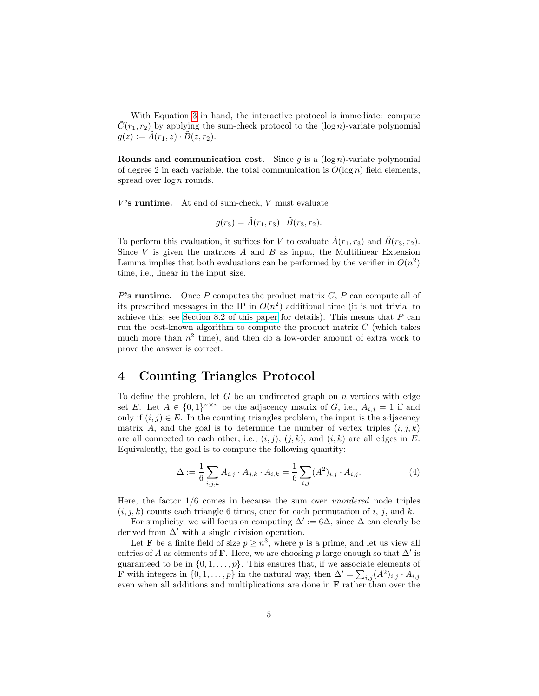With Equation [3](#page-3-1) in hand, the interactive protocol is immediate: compute  $C(r_1, r_2)$  by applying the sum-check protocol to the  $(\log n)$ -variate polynomial  $g(z) := A(r_1, z) \cdot B(z, r_2).$ 

Rounds and communication cost. Since  $g$  is a  $(\log n)$ -variate polynomial of degree 2 in each variable, the total communication is  $O(\log n)$  field elements, spread over  $\log n$  rounds.

 $V$ 's runtime. At end of sum-check,  $V$  must evaluate

$$
g(r_3) = \tilde{A}(r_1, r_3) \cdot \tilde{B}(r_3, r_2).
$$

To perform this evaluation, it suffices for V to evaluate  $\tilde{A}(r_1, r_3)$  and  $\tilde{B}(r_3, r_2)$ . Since  $V$  is given the matrices  $A$  and  $B$  as input, the Multilinear Extension Lemma implies that both evaluations can be performed by the verifier in  $O(n^2)$ time, i.e., linear in the input size.

P's runtime. Once P computes the product matrix  $C$ , P can compute all of its prescribed messages in the IP in  $O(n^2)$  additional time (it is not trivial to achieve this; see [Section 8.2 of this paper](https://arxiv.org/abs/1304.3812) for details). This means that  $P$  can run the best-known algorithm to compute the product matrix  $C$  (which takes much more than  $n^2$  time), and then do a low-order amount of extra work to prove the answer is correct.

## 4 Counting Triangles Protocol

To define the problem, let  $G$  be an undirected graph on  $n$  vertices with edge set E. Let  $A \in \{0,1\}^{n \times n}$  be the adjacency matrix of G, i.e.,  $A_{i,j} = 1$  if and only if  $(i, j) \in E$ . In the counting triangles problem, the input is the adjacency matrix A, and the goal is to determine the number of vertex triples  $(i, j, k)$ are all connected to each other, i.e.,  $(i, j)$ ,  $(j, k)$ , and  $(i, k)$  are all edges in E. Equivalently, the goal is to compute the following quantity:

$$
\Delta := \frac{1}{6} \sum_{i,j,k} A_{i,j} \cdot A_{j,k} \cdot A_{i,k} = \frac{1}{6} \sum_{i,j} (A^2)_{i,j} \cdot A_{i,j}.
$$
 (4)

Here, the factor  $1/6$  comes in because the sum over unordered node triples  $(i, j, k)$  counts each triangle 6 times, once for each permutation of i, j, and k.

For simplicity, we will focus on computing  $\Delta' := 6\Delta$ , since  $\Delta$  can clearly be derived from  $\Delta'$  with a single division operation.

Let **F** be a finite field of size  $p \geq n^3$ , where p is a prime, and let us view all entries of A as elements of F. Here, we are choosing p large enough so that  $\Delta'$  is guaranteed to be in  $\{0, 1, \ldots, p\}$ . This ensures that, if we associate elements of **F** with integers in  $\{0, 1, \ldots, p\}$  in the natural way, then  $\Delta' = \sum_{i,j} (A^2)_{i,j} \cdot A_{i,j}$ even when all additions and multiplications are done in  $\bf{F}$  rather than over the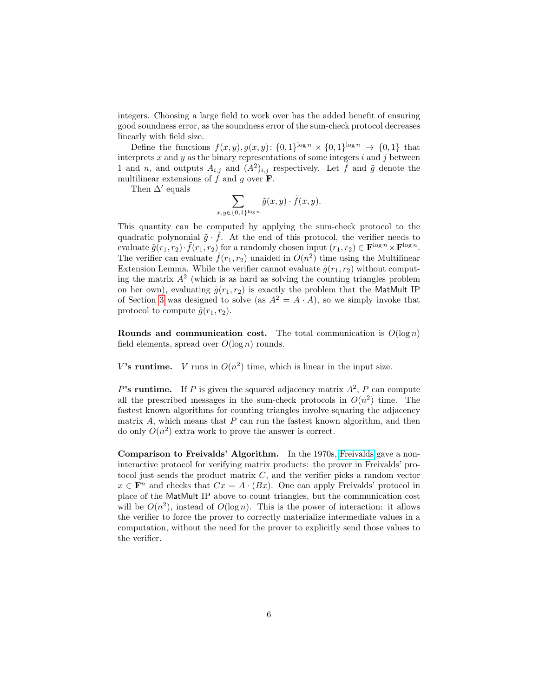integers. Choosing a large field to work over has the added benefit of ensuring good soundness error, as the soundness error of the sum-check protocol decreases linearly with field size.

Define the functions  $f(x, y), g(x, y)$ :  $\{0, 1\}^{\log n} \times \{0, 1\}^{\log n} \rightarrow \{0, 1\}$  that interprets x and y as the binary representations of some integers  $i$  and  $j$  between 1 and n, and outputs  $A_{i,j}$  and  $(A^2)_{i,j}$  respectively. Let  $\tilde{f}$  and  $\tilde{g}$  denote the multilinear extensions of  $f$  and  $g$  over  $\mathbf{F}$ .

Then  $\Delta'$  equals

$$
\sum_{x,y \in \{0,1\}^{\log n}} \tilde{g}(x,y) \cdot \tilde{f}(x,y).
$$

This quantity can be computed by applying the sum-check protocol to the quadratic polynomial  $\tilde{g} \cdot \tilde{f}$ . At the end of this protocol, the verifier needs to evaluate  $\tilde{g}(r_1, r_2) \cdot \tilde{f}(r_1, r_2)$  for a randomly chosen input  $(r_1, r_2) \in \mathbf{F}^{\log n} \times \mathbf{F}^{\log n}$ . The verifier can evaluate  $\tilde{f}(r_1, r_2)$  unaided in  $O(n^2)$  time using the Multilinear Extension Lemma. While the verifier cannot evaluate  $\tilde{q}(r_1, r_2)$  without computing the matrix  $A<sup>2</sup>$  (which is as hard as solving the counting triangles problem on her own), evaluating  $\tilde{g}(r_1, r_2)$  is exactly the problem that the MatMult IP of Section [3](#page-3-2) was designed to solve (as  $A^2 = A \cdot A$ ), so we simply invoke that protocol to compute  $\tilde{g}(r_1, r_2)$ .

Rounds and communication cost. The total communication is  $O(\log n)$ field elements, spread over  $O(\log n)$  rounds.

V's runtime. V runs in  $O(n^2)$  time, which is linear in the input size.

P's runtime. If P is given the squared adjacency matrix  $A^2$ , P can compute all the prescribed messages in the sum-check protocols in  $O(n^2)$  time. The fastest known algorithms for counting triangles involve squaring the adjacency matrix  $A$ , which means that  $P$  can run the fastest known algorithm, and then do only  $O(n^2)$  extra work to prove the answer is correct.

Comparison to Freivalds' Algorithm. In the 1970s, [Freivalds](https://en.wikipedia.org/wiki/Freivalds%27_algorithm) gave a noninteractive protocol for verifying matrix products: the prover in Freivalds' protocol just sends the product matrix C, and the verifier picks a random vector  $x \in \mathbf{F}^n$  and checks that  $Cx = A \cdot (Bx)$ . One can apply Freivalds' protocol in place of the MatMult IP above to count triangles, but the communication cost will be  $O(n^2)$ , instead of  $O(\log n)$ . This is the power of interaction: it allows the verifier to force the prover to correctly materialize intermediate values in a computation, without the need for the prover to explicitly send those values to the verifier.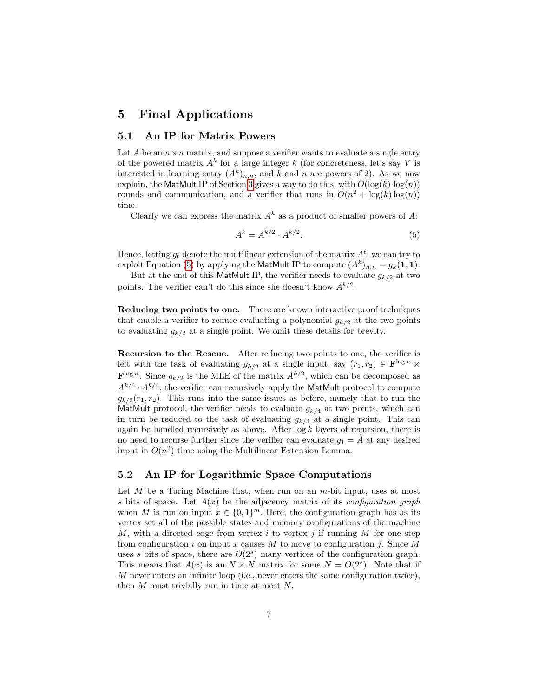#### 5 Final Applications

#### 5.1 An IP for Matrix Powers

Let A be an  $n \times n$  matrix, and suppose a verifier wants to evaluate a single entry of the powered matrix  $A^k$  for a large integer k (for concreteness, let's say V is interested in learning entry  $(A^k)_{n,n}$ , and k and n are powers of 2). As we now explain, the MatMult IP of Section [3](#page-3-3) gives a way to do this, with  $O(\log(k) \cdot \log(n))$ rounds and communication, and a verifier that runs in  $O(n^2 + \log(k) \log(n))$ time.

Clearly we can express the matrix  $A^k$  as a product of smaller powers of A:

<span id="page-6-0"></span>
$$
A^k = A^{k/2} \cdot A^{k/2}.\tag{5}
$$

Hence, letting  $g_{\ell}$  denote the multilinear extension of the matrix  $A^{\ell}$ , we can try to exploit Equation [\(5\)](#page-6-0) by applying the MatMult IP to compute  $(A^k)_{n,n} = g_k(1,1)$ .

But at the end of this MatMult IP, the verifier needs to evaluate  $g_{k/2}$  at two points. The verifier can't do this since she doesn't know  $A^{k/2}$ .

Reducing two points to one. There are known interactive proof techniques that enable a verifier to reduce evaluating a polynomial  $g_{k/2}$  at the two points to evaluating  $g_{k/2}$  at a single point. We omit these details for brevity.

Recursion to the Rescue. After reducing two points to one, the verifier is left with the task of evaluating  $g_{k/2}$  at a single input, say  $(r_1, r_2) \in \mathbf{F}^{\log n} \times$  $\mathbf{F}^{\log n}$ . Since  $g_{k/2}$  is the MLE of the matrix  $A^{k/2}$ , which can be decomposed as  $A^{k/4} \cdot A^{k/4}$ , the verifier can recursively apply the MatMult protocol to compute  $g_{k/2}(r_1, r_2)$ . This runs into the same issues as before, namely that to run the MatMult protocol, the verifier needs to evaluate  $g_{k/4}$  at two points, which can in turn be reduced to the task of evaluating  $g_{k/4}$  at a single point. This can again be handled recursively as above. After  $\log k$  layers of recursion, there is no need to recurse further since the verifier can evaluate  $g_1 = A$  at any desired input in  $O(n^2)$  time using the Multilinear Extension Lemma.

#### 5.2 An IP for Logarithmic Space Computations

Let  $M$  be a Turing Machine that, when run on an  $m$ -bit input, uses at most s bits of space. Let  $A(x)$  be the adjacency matrix of its *configuration graph* when M is run on input  $x \in \{0,1\}^m$ . Here, the configuration graph has as its vertex set all of the possible states and memory configurations of the machine M, with a directed edge from vertex i to vertex i if running M for one step from configuration i on input x causes M to move to configuration j. Since M uses s bits of space, there are  $O(2<sup>s</sup>)$  many vertices of the configuration graph. This means that  $A(x)$  is an  $N \times N$  matrix for some  $N = O(2^s)$ . Note that if M never enters an infinite loop (i.e., never enters the same configuration twice), then M must trivially run in time at most N.